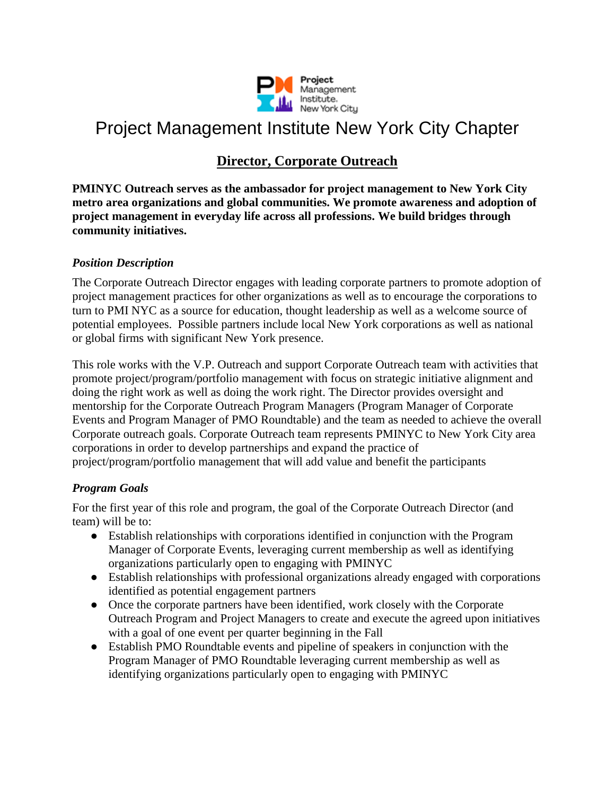

### Project Management Institute New York City Chapter

### **Director, Corporate Outreach**

**PMINYC Outreach serves as the ambassador for project management to New York City metro area organizations and global communities. We promote awareness and adoption of project management in everyday life across all professions. We build bridges through community initiatives.**

#### *Position Description*

The Corporate Outreach Director engages with leading corporate partners to promote adoption of project management practices for other organizations as well as to encourage the corporations to turn to PMI NYC as a source for education, thought leadership as well as a welcome source of potential employees. Possible partners include local New York corporations as well as national or global firms with significant New York presence.

This role works with the V.P. Outreach and support Corporate Outreach team with activities that promote project/program/portfolio management with focus on strategic initiative alignment and doing the right work as well as doing the work right. The Director provides oversight and mentorship for the Corporate Outreach Program Managers (Program Manager of Corporate Events and Program Manager of PMO Roundtable) and the team as needed to achieve the overall Corporate outreach goals. Corporate Outreach team represents PMINYC to New York City area corporations in order to develop partnerships and expand the practice of project/program/portfolio management that will add value and benefit the participants

#### *Program Goals*

For the first year of this role and program, the goal of the Corporate Outreach Director (and team) will be to:

- Establish relationships with corporations identified in conjunction with the Program Manager of Corporate Events, leveraging current membership as well as identifying organizations particularly open to engaging with PMINYC
- Establish relationships with professional organizations already engaged with corporations identified as potential engagement partners
- Once the corporate partners have been identified, work closely with the Corporate Outreach Program and Project Managers to create and execute the agreed upon initiatives with a goal of one event per quarter beginning in the Fall
- Establish PMO Roundtable events and pipeline of speakers in conjunction with the Program Manager of PMO Roundtable leveraging current membership as well as identifying organizations particularly open to engaging with PMINYC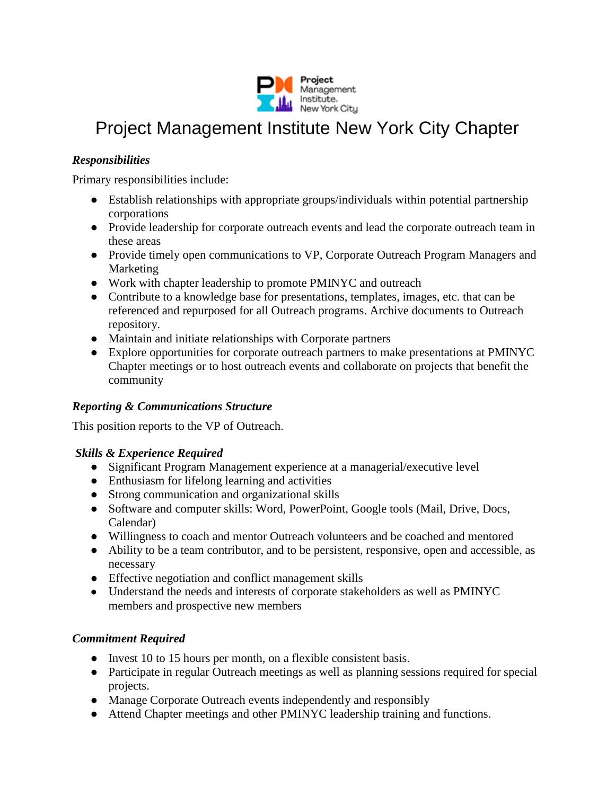

## Project Management Institute New York City Chapter

#### *Responsibilities*

Primary responsibilities include:

- Establish relationships with appropriate groups/individuals within potential partnership corporations
- Provide leadership for corporate outreach events and lead the corporate outreach team in these areas
- Provide timely open communications to VP, Corporate Outreach Program Managers and Marketing
- Work with chapter leadership to promote PMINYC and outreach
- Contribute to a knowledge base for presentations, templates, images, etc. that can be referenced and repurposed for all Outreach programs. Archive documents to Outreach repository.
- Maintain and initiate relationships with Corporate partners
- Explore opportunities for corporate outreach partners to make presentations at PMINYC Chapter meetings or to host outreach events and collaborate on projects that benefit the community

#### *Reporting & Communications Structure*

This position reports to the VP of Outreach.

#### *Skills & Experience Required*

- Significant Program Management experience at a managerial/executive level
- Enthusiasm for lifelong learning and activities
- Strong communication and organizational skills
- Software and computer skills: Word, PowerPoint, Google tools (Mail, Drive, Docs, Calendar)
- Willingness to coach and mentor Outreach volunteers and be coached and mentored
- Ability to be a team contributor, and to be persistent, responsive, open and accessible, as necessary
- Effective negotiation and conflict management skills
- Understand the needs and interests of corporate stakeholders as well as PMINYC members and prospective new members

#### *Commitment Required*

- Invest 10 to 15 hours per month, on a flexible consistent basis.
- Participate in regular Outreach meetings as well as planning sessions required for special projects.
- Manage Corporate Outreach events independently and responsibly
- Attend Chapter meetings and other PMINYC leadership training and functions.